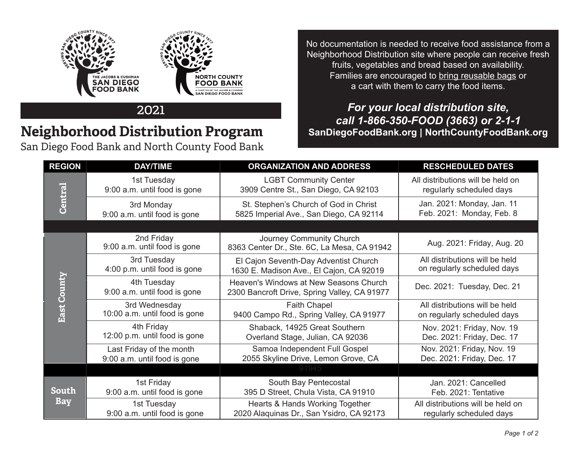

## 2021

## **Neighborhood Distribution Program**

San Diego Food Bank and North County Food Bank

No documentation is needed to receive food assistance from a Neighborhood Distribution site where people can receive fresh fruits, vegetables and bread based on availability. Families are encouraged to bring reusable bags or a cart with them to carry the food items.

## *For your local distribution site, call 1-866-350-FOOD (3663) or 2-1-1* **SanDiegoFoodBank.org | NorthCountyFoodBank.org**

| <b>REGION</b>              | <b>DAY/TIME</b>                                          | <b>ORGANIZATION AND ADDRESS</b>                                                        | <b>RESCHEDULED DATES</b>                                      |
|----------------------------|----------------------------------------------------------|----------------------------------------------------------------------------------------|---------------------------------------------------------------|
| Central                    | 1st Tuesday<br>9:00 a.m. until food is gone              | <b>LGBT Community Center</b><br>3909 Centre St., San Diego, CA 92103                   | All distributions will be held on<br>regularly scheduled days |
|                            | 3rd Monday<br>9:00 a.m. until food is gone               | St. Stephen's Church of God in Christ<br>5825 Imperial Ave., San Diego, CA 92114       | Jan. 2021: Monday, Jan. 11<br>Feb. 2021: Monday, Feb. 8       |
|                            |                                                          |                                                                                        |                                                               |
| East County                | 2nd Friday<br>9:00 a.m. until food is gone               | Journey Community Church<br>8363 Center Dr., Ste. 6C, La Mesa, CA 91942                | Aug. 2021: Friday, Aug. 20                                    |
|                            | 3rd Tuesday<br>4:00 p.m. until food is gone              | El Cajon Seventh-Day Adventist Church<br>1630 E. Madison Ave., El Cajon, CA 92019      | All distributions will be held<br>on regularly scheduled days |
|                            | 4th Tuesday<br>9:00 a.m. until food is gone              | Heaven's Windows at New Seasons Church<br>2300 Bancroft Drive, Spring Valley, CA 91977 | Dec. 2021: Tuesday, Dec. 21                                   |
|                            | 3rd Wednesday<br>10:00 a.m. until food is gone           | <b>Faith Chapel</b><br>9400 Campo Rd., Spring Valley, CA 91977                         | All distributions will be held<br>on regularly scheduled days |
|                            | 4th Friday<br>12:00 p.m. until food is gone              | Shaback, 14925 Great Southern<br>Overland Stage, Julian, CA 92036                      | Nov. 2021: Friday, Nov. 19<br>Dec. 2021: Friday, Dec. 17      |
|                            | Last Friday of the month<br>9:00 a.m. until food is gone | Samoa Independent Full Gospel<br>2055 Skyline Drive, Lemon Grove, CA                   | Nov. 2021: Friday, Nov. 19<br>Dec. 2021: Friday, Dec. 17      |
|                            |                                                          |                                                                                        |                                                               |
| <b>South</b><br><b>Bay</b> | 1st Friday<br>9:00 a.m. until food is gone               | South Bay Pentecostal<br>395 D Street, Chula Vista, CA 91910                           | Jan. 2021: Cancelled<br>Feb. 2021: Tentative                  |
|                            | 1st Tuesday<br>9:00 a.m. until food is gone              | Hearts & Hands Working Together<br>2020 Alaquinas Dr., San Ysidro, CA 92173            | All distributions will be held on<br>regularly scheduled days |